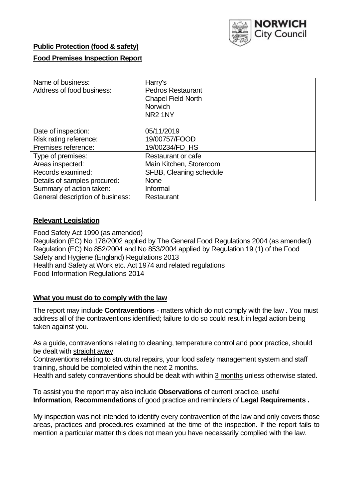

## **Public Protection (food & safety)**

## **Food Premises Inspection Report**

| Name of business:<br>Address of food business:                       | Harry's<br><b>Pedros Restaurant</b><br><b>Chapel Field North</b><br><b>Norwich</b><br>NR <sub>2</sub> 1NY |
|----------------------------------------------------------------------|-----------------------------------------------------------------------------------------------------------|
| Date of inspection:<br>Risk rating reference:<br>Premises reference: | 05/11/2019<br>19/00757/FOOD<br>19/00234/FD HS                                                             |
| Type of premises:<br>Areas inspected:                                | Restaurant or cafe<br>Main Kitchen, Storeroom                                                             |
| Records examined:                                                    | SFBB, Cleaning schedule                                                                                   |
| Details of samples procured:                                         | <b>None</b>                                                                                               |
| Summary of action taken:                                             | Informal                                                                                                  |
| General description of business:                                     | Restaurant                                                                                                |

## **Relevant Legislation**

Food Safety Act 1990 (as amended) Regulation (EC) No 178/2002 applied by The General Food Regulations 2004 (as amended) Regulation (EC) No 852/2004 and No 853/2004 applied by Regulation 19 (1) of the Food Safety and Hygiene (England) Regulations 2013 Health and Safety at Work etc. Act 1974 and related regulations Food Information Regulations 2014

## **What you must do to comply with the law**

The report may include **Contraventions** - matters which do not comply with the law . You must address all of the contraventions identified; failure to do so could result in legal action being taken against you.

As a guide, contraventions relating to cleaning, temperature control and poor practice, should be dealt with straight away.

Contraventions relating to structural repairs, your food safety management system and staff training, should be completed within the next 2 months.

Health and safety contraventions should be dealt with within 3 months unless otherwise stated.

To assist you the report may also include **Observations** of current practice, useful **Information**, **Recommendations** of good practice and reminders of **Legal Requirements .**

My inspection was not intended to identify every contravention of the law and only covers those areas, practices and procedures examined at the time of the inspection. If the report fails to mention a particular matter this does not mean you have necessarily complied with the law.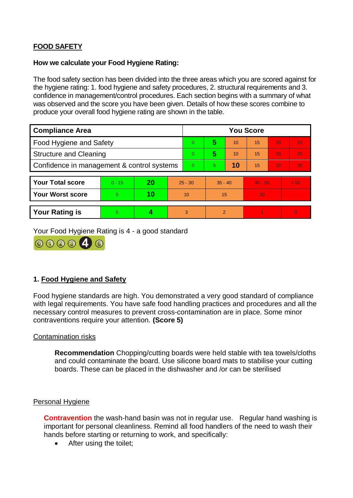# **FOOD SAFETY**

### **How we calculate your Food Hygiene Rating:**

The food safety section has been divided into the three areas which you are scored against for the hygiene rating: 1. food hygiene and safety procedures, 2. structural requirements and 3. confidence in management/control procedures. Each section begins with a summary of what was observed and the score you have been given. Details of how these scores combine to produce your overall food hygiene rating are shown in the table.

| <b>Compliance Area</b>                     |          |    |           | <b>You Score</b> |                |    |           |    |          |  |  |
|--------------------------------------------|----------|----|-----------|------------------|----------------|----|-----------|----|----------|--|--|
| Food Hygiene and Safety                    |          |    |           | $\overline{0}$   | 5              | 10 | 15        | 20 | 25       |  |  |
| <b>Structure and Cleaning</b>              |          |    |           | $\Omega$         | 5              | 10 | 15        | 20 | 25       |  |  |
| Confidence in management & control systems |          |    | $\Omega$  | 5                | 10             | 15 | 20        | 30 |          |  |  |
|                                            |          |    |           |                  |                |    |           |    |          |  |  |
| <b>Your Total score</b>                    | $0 - 15$ | 20 | $25 - 30$ |                  | $35 - 40$      |    | $45 - 50$ |    | > 50     |  |  |
| <b>Your Worst score</b>                    | 5        | 10 | 10        |                  | 15             |    | 20        |    |          |  |  |
|                                            |          |    |           |                  |                |    |           |    |          |  |  |
| <b>Your Rating is</b>                      | 5        |    |           | 3                | $\overline{2}$ |    |           |    | $\Omega$ |  |  |

Your Food Hygiene Rating is 4 - a good standard



# **1. Food Hygiene and Safety**

Food hygiene standards are high. You demonstrated a very good standard of compliance with legal requirements. You have safe food handling practices and procedures and all the necessary control measures to prevent cross-contamination are in place. Some minor contraventions require your attention. **(Score 5)**

## Contamination risks

**Recommendation** Chopping/cutting boards were held stable with tea towels/cloths and could contaminate the board. Use silicone board mats to stabilise your cutting boards. These can be placed in the dishwasher and /or can be sterilised

## Personal Hygiene

**Contravention** the wash-hand basin was not in regular use. Regular hand washing is important for personal cleanliness. Remind all food handlers of the need to wash their hands before starting or returning to work, and specifically:

After using the toilet;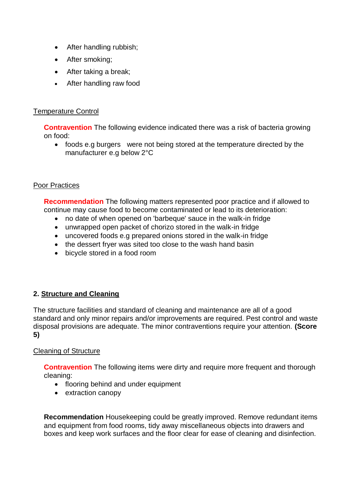- After handling rubbish;
- After smoking;
- After taking a break;
- After handling raw food

## Temperature Control

**Contravention** The following evidence indicated there was a risk of bacteria growing on food:

• foods e.g burgers were not being stored at the temperature directed by the manufacturer e.g below 2°C

#### Poor Practices

**Recommendation** The following matters represented poor practice and if allowed to continue may cause food to become contaminated or lead to its deterioration:

- no date of when opened on 'barbeque' sauce in the walk-in fridge
- unwrapped open packet of chorizo stored in the walk-in fridge
- uncovered foods e.g prepared onions stored in the walk-in fridge
- the dessert fryer was sited too close to the wash hand basin
- bicycle stored in a food room

# **2. Structure and Cleaning**

The structure facilities and standard of cleaning and maintenance are all of a good standard and only minor repairs and/or improvements are required. Pest control and waste disposal provisions are adequate. The minor contraventions require your attention. **(Score 5)**

## Cleaning of Structure

**Contravention** The following items were dirty and require more frequent and thorough cleaning:

- flooring behind and under equipment
- extraction canopy

**Recommendation** Housekeeping could be greatly improved. Remove redundant items and equipment from food rooms, tidy away miscellaneous objects into drawers and boxes and keep work surfaces and the floor clear for ease of cleaning and disinfection.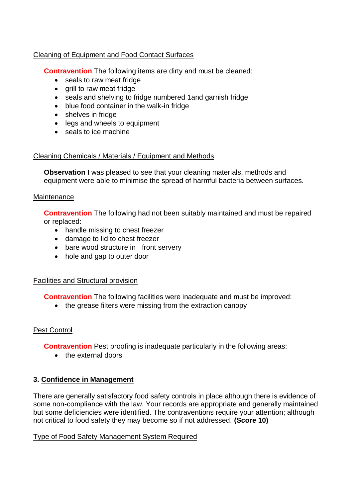## Cleaning of Equipment and Food Contact Surfaces

**Contravention** The following items are dirty and must be cleaned:

- seals to raw meat fridge
- grill to raw meat fridge
- seals and shelving to fridge numbered 1and garnish fridge
- blue food container in the walk-in fridge
- shelves in fridge
- legs and wheels to equipment
- seals to ice machine

## Cleaning Chemicals / Materials / Equipment and Methods

**Observation** I was pleased to see that your cleaning materials, methods and equipment were able to minimise the spread of harmful bacteria between surfaces.

## **Maintenance**

**Contravention** The following had not been suitably maintained and must be repaired or replaced:

- handle missing to chest freezer
- damage to lid to chest freezer
- bare wood structure in front servery
- hole and gap to outer door

## Facilities and Structural provision

**Contravention** The following facilities were inadequate and must be improved:

• the grease filters were missing from the extraction canopy

# Pest Control

**Contravention** Pest proofing is inadequate particularly in the following areas:

• the external doors

# **3. Confidence in Management**

There are generally satisfactory food safety controls in place although there is evidence of some non-compliance with the law. Your records are appropriate and generally maintained but some deficiencies were identified. The contraventions require your attention; although not critical to food safety they may become so if not addressed. **(Score 10)**

## Type of Food Safety Management System Required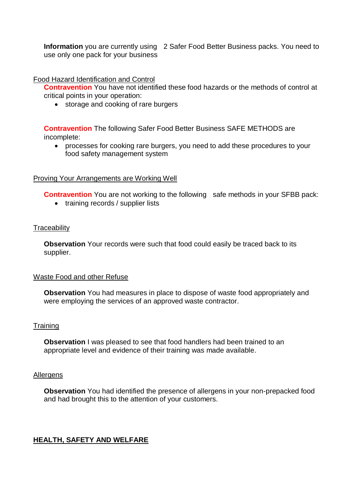**Information** you are currently using 2 Safer Food Better Business packs. You need to use only one pack for your business

Food Hazard Identification and Control

**Contravention** You have not identified these food hazards or the methods of control at critical points in your operation:

• storage and cooking of rare burgers

**Contravention** The following Safer Food Better Business SAFE METHODS are incomplete:

 processes for cooking rare burgers, you need to add these procedures to your food safety management system

#### Proving Your Arrangements are Working Well

**Contravention** You are not working to the following safe methods in your SFBB pack:

• training records / supplier lists

#### **Traceability**

**Observation** Your records were such that food could easily be traced back to its supplier.

#### Waste Food and other Refuse

**Observation** You had measures in place to dispose of waste food appropriately and were employing the services of an approved waste contractor.

## **Training**

**Observation** I was pleased to see that food handlers had been trained to an appropriate level and evidence of their training was made available.

#### **Allergens**

**Observation** You had identified the presence of allergens in your non-prepacked food and had brought this to the attention of your customers.

## **HEALTH, SAFETY AND WELFARE**